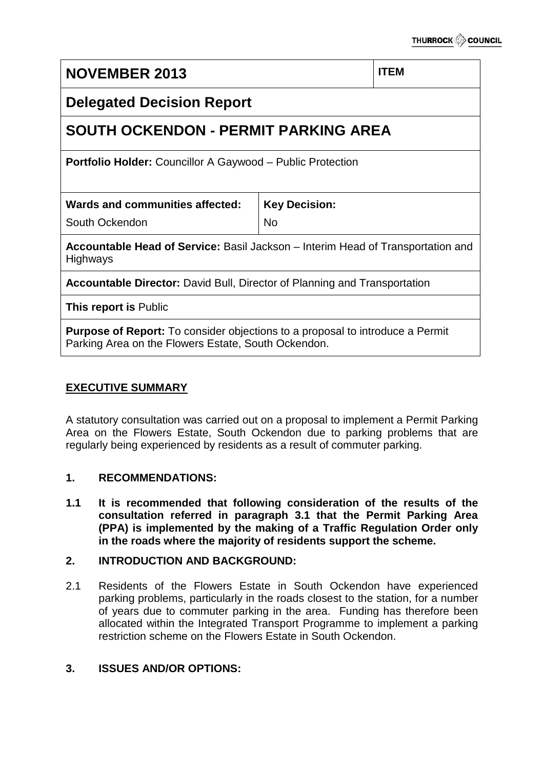# **NOVEMBER 2013 ITEM Delegated Decision Report SOUTH OCKENDON - PERMIT PARKING AREA Portfolio Holder:** Councillor A Gaywood – Public Protection **Wards and communities affected:** South Ockendon **Key Decision:** No **Accountable Head of Service:** Basil Jackson – Interim Head of Transportation and **Highways Accountable Director:** David Bull, Director of Planning and Transportation **This report is** Public **Purpose of Report:** To consider objections to a proposal to introduce a Permit Parking Area on the Flowers Estate, South Ockendon.

# **EXECUTIVE SUMMARY**

A statutory consultation was carried out on a proposal to implement a Permit Parking Area on the Flowers Estate, South Ockendon due to parking problems that are regularly being experienced by residents as a result of commuter parking.

# **1. RECOMMENDATIONS:**

**1.1 It is recommended that following consideration of the results of the consultation referred in paragraph 3.1 that the Permit Parking Area (PPA) is implemented by the making of a Traffic Regulation Order only in the roads where the majority of residents support the scheme.**

# **2. INTRODUCTION AND BACKGROUND:**

2.1 Residents of the Flowers Estate in South Ockendon have experienced parking problems, particularly in the roads closest to the station, for a number of years due to commuter parking in the area. Funding has therefore been allocated within the Integrated Transport Programme to implement a parking restriction scheme on the Flowers Estate in South Ockendon.

# **3. ISSUES AND/OR OPTIONS:**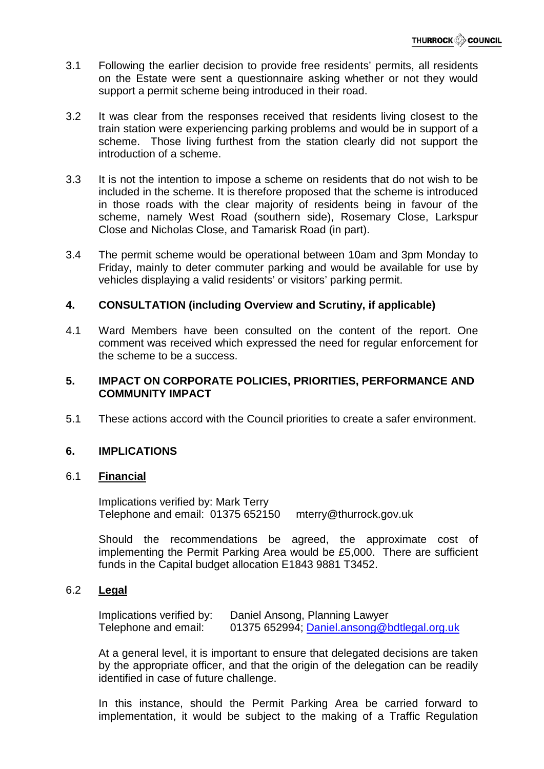- 3.1 Following the earlier decision to provide free residents' permits, all residents on the Estate were sent a questionnaire asking whether or not they would support a permit scheme being introduced in their road.
- 3.2 It was clear from the responses received that residents living closest to the train station were experiencing parking problems and would be in support of a scheme. Those living furthest from the station clearly did not support the introduction of a scheme.
- 3.3 It is not the intention to impose a scheme on residents that do not wish to be included in the scheme. It is therefore proposed that the scheme is introduced in those roads with the clear majority of residents being in favour of the scheme, namely West Road (southern side), Rosemary Close, Larkspur Close and Nicholas Close, and Tamarisk Road (in part).
- 3.4 The permit scheme would be operational between 10am and 3pm Monday to Friday, mainly to deter commuter parking and would be available for use by vehicles displaying a valid residents' or visitors' parking permit.

# **4. CONSULTATION (including Overview and Scrutiny, if applicable)**

4.1 Ward Members have been consulted on the content of the report. One comment was received which expressed the need for regular enforcement for the scheme to be a success.

# **5. IMPACT ON CORPORATE POLICIES, PRIORITIES, PERFORMANCE AND COMMUNITY IMPACT**

5.1 These actions accord with the Council priorities to create a safer environment.

# **6. IMPLICATIONS**

#### 6.1 **Financial**

Implications verified by: Mark Terry Telephone and email: 01375 652150 mterry@thurrock.gov.uk

Should the recommendations be agreed, the approximate cost of implementing the Permit Parking Area would be £5,000. There are sufficient funds in the Capital budget allocation E1843 9881 T3452.

### 6.2 **Legal**

Implications verified by: Daniel Ansong, Planning Lawyer Telephone and email: 01375 652994; [Daniel.ansong@bdtlegal.org.uk](mailto:Daniel.ansong@bdtlegal.org.uk)

At a general level, it is important to ensure that delegated decisions are taken by the appropriate officer, and that the origin of the delegation can be readily identified in case of future challenge.

In this instance, should the Permit Parking Area be carried forward to implementation, it would be subject to the making of a Traffic Regulation